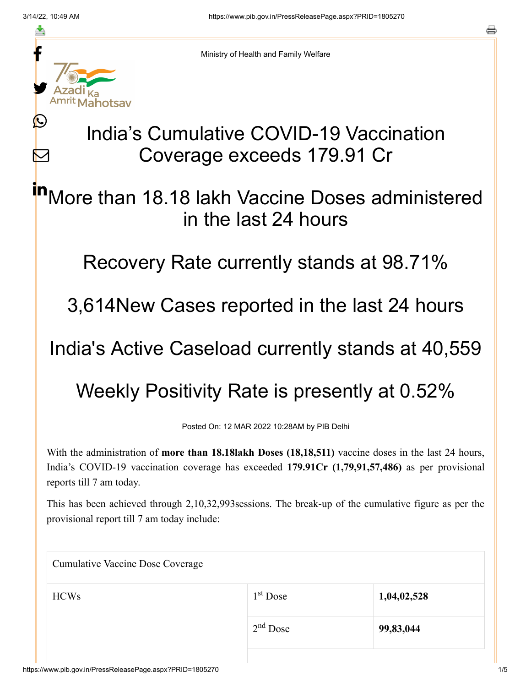≛

Ŀ

 $\bm{\nabla}$ 

Ministry of Health and Family Welfare

## India's Cumulative COVID-19 Vaccination Coverage exceeds 179.91 Cr

More than 18.18 lakh Vaccine Doses administered in the last 24 hours in

Recovery Rate currently stands at 98.71%

3,614New Cases reported in the last 24 hours

India's Active Caseload currently stands at 40,559

Weekly Positivity Rate is presently at 0.52%

Posted On: 12 MAR 2022 10:28AM by PIB Delhi

With the administration of **more than 18.18lakh Doses (18,18,511)** vaccine doses in the last 24 hours, India's COVID-19 vaccination coverage has exceeded **179.91Cr (1,79,91,57,486)** as per provisional reports till 7 am today.

This has been achieved through 2,10,32,993sessions. The break-up of the cumulative figure as per the provisional report till 7 am today include:

| <b>Cumulative Vaccine Dose Coverage</b> |             |  |  |
|-----------------------------------------|-------------|--|--|
| $1st$ Dose                              | 1,04,02,528 |  |  |
| $2nd$ Dose                              | 99,83,044   |  |  |
|                                         |             |  |  |

a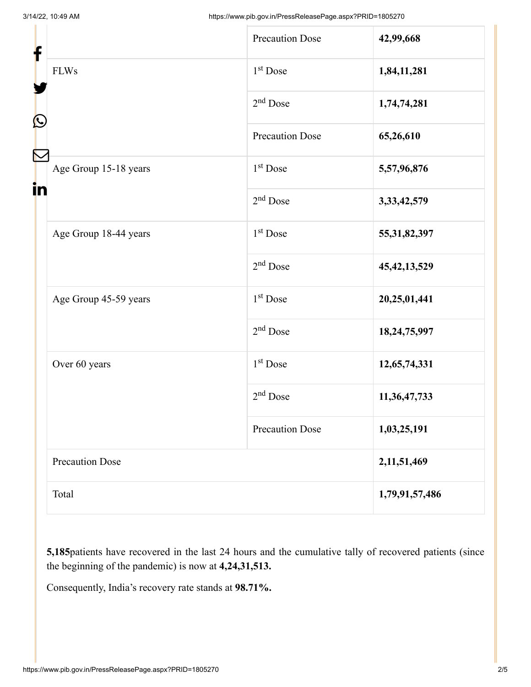| f<br>$\mathbf{\Omega}$ |                        | <b>Precaution Dose</b> | 42,99,668       |
|------------------------|------------------------|------------------------|-----------------|
|                        | <b>FLWs</b>            | $1st$ Dose             | 1,84,11,281     |
|                        |                        | 2 <sup>nd</sup> Dose   | 1,74,74,281     |
|                        |                        | <b>Precaution Dose</b> | 65,26,610       |
| in                     | Age Group 15-18 years  | 1 <sup>st</sup> Dose   | 5,57,96,876     |
|                        |                        | $2nd$ Dose             | 3, 33, 42, 579  |
|                        | Age Group 18-44 years  | 1 <sup>st</sup> Dose   | 55, 31, 82, 397 |
|                        |                        | $2nd$ Dose             | 45, 42, 13, 529 |
|                        | Age Group 45-59 years  | $1st$ Dose             | 20,25,01,441    |
|                        |                        | $2nd$ Dose             | 18,24,75,997    |
|                        | Over 60 years          | $1st$ Dose             | 12,65,74,331    |
|                        |                        | $2nd$ Dose             | 11,36,47,733    |
|                        |                        | <b>Precaution Dose</b> | 1,03,25,191     |
|                        | <b>Precaution Dose</b> |                        | 2,11,51,469     |
|                        | Total                  |                        | 1,79,91,57,486  |

**5,185**patients have recovered in the last 24 hours and the cumulative tally of recovered patients (since the beginning of the pandemic) is now at **4,24,31,513.**

Consequently, India's recovery rate stands at **98.71%.**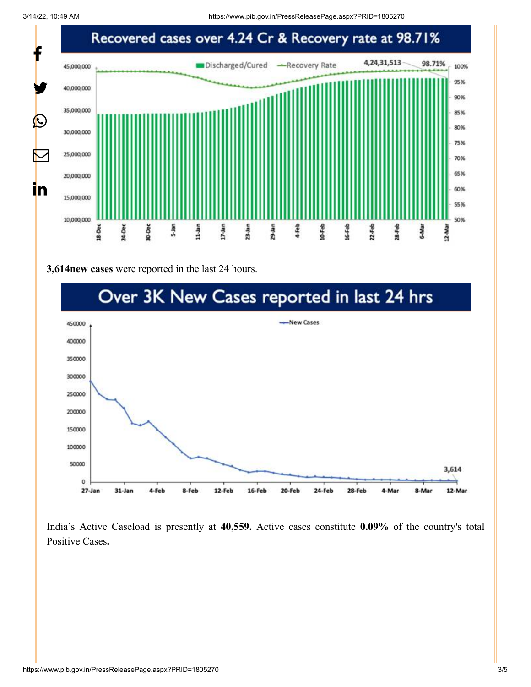3/14/22, 10:49 AM https://www.pib.gov.in/PressReleasePage.aspx?PRID=1805270



## **3,614new cases** were reported in the last 24 hours.



India's Active Caseload is presently at **40,559.** Active cases constitute **0.09%** of the country's total Positive Cases**.**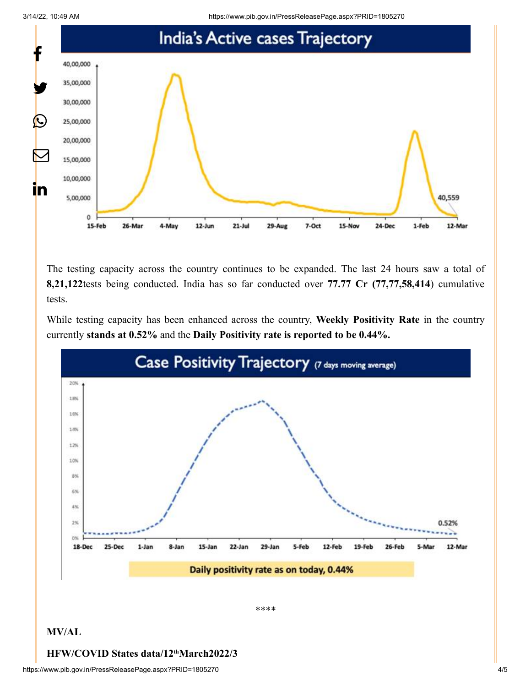3/14/22, 10:49 AM https://www.pib.gov.in/PressReleasePage.aspx?PRID=1805270



The testing capacity across the country continues to be expanded. The last 24 hours saw a total of **8,21,122**tests being conducted. India has so far conducted over **77.77 Cr (77,77,58,414**) cumulative tests.

While testing capacity has been enhanced across the country, **Weekly Positivity Rate** in the country currently **stands at 0.52%** and the **Daily Positivity rate is reported to be 0.44%.**